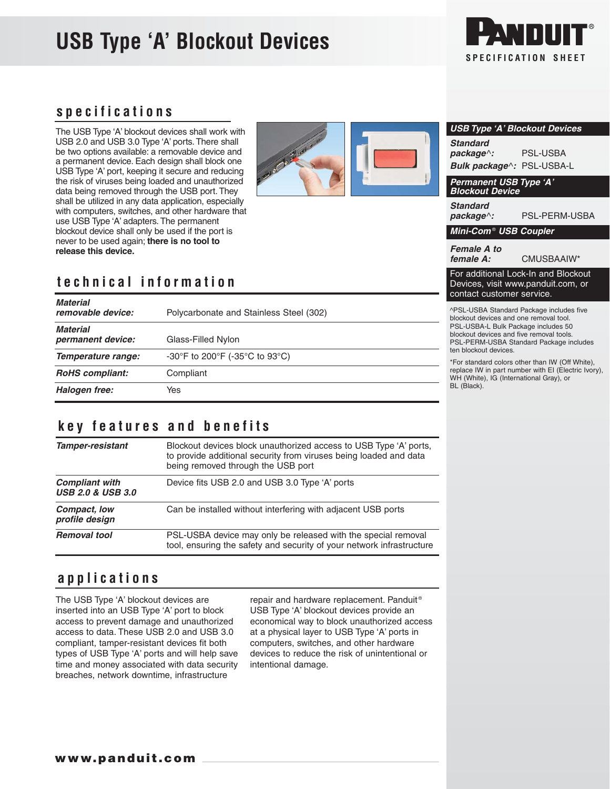# **USB Type 'A' Blockout Devices**



# **specifications**

The USB Type 'A' blockout devices shall work with USB 2.0 and USB 3.0 Type 'A' ports. There shall be two options available: a removable device and a permanent device. Each design shall block one USB Type 'A' port, keeping it secure and reducing the risk of viruses being loaded and unauthorized data being removed through the USB port. They shall be utilized in any data application, especially with computers, switches, and other hardware that use USB Type 'A' adapters. The permanent blockout device shall only be used if the port is never to be used again; **there is no tool to release this device.**



# **technical information**

| <b>Material</b><br>removable device: | Polycarbonate and Stainless Steel (302) | ^PSL-l<br>blockou<br>PSL-U<br>blockou<br><b>PSL-PI</b><br>ten blo<br>*For sta |
|--------------------------------------|-----------------------------------------|-------------------------------------------------------------------------------|
| <b>Material</b><br>permanent device: | Glass-Filled Nylon                      |                                                                               |
| Temperature range:                   | -30°F to 200°F (-35°C to 93°C)          |                                                                               |
| <b>RoHS</b> compliant:               | Compliant                               | replace<br>WH (W                                                              |
| Halogen free:                        | Yes                                     | BL (Bla                                                                       |

#### **key features and benefits**

| <b>Tamper-resistant</b>                               | Blockout devices block unauthorized access to USB Type 'A' ports,<br>to provide additional security from viruses being loaded and data<br>being removed through the USB port |  |
|-------------------------------------------------------|------------------------------------------------------------------------------------------------------------------------------------------------------------------------------|--|
| <b>Compliant with</b><br><b>USB 2.0 &amp; USB 3.0</b> | Device fits USB 2.0 and USB 3.0 Type 'A' ports                                                                                                                               |  |
| Compact, low<br>profile design                        | Can be installed without interfering with adjacent USB ports                                                                                                                 |  |
| <b>Removal tool</b>                                   | PSL-USBA device may only be released with the special removal<br>tool, ensuring the safety and security of your network infrastructure                                       |  |

# **applications**

The USB Type 'A' blockout devices are inserted into an USB Type 'A' port to block access to prevent damage and unauthorized access to data. These USB 2.0 and USB 3.0 compliant, tamper-resistant devices fit both types of USB Type 'A' ports and will help save time and money associated with data security breaches, network downtime, infrastructure

repair and hardware replacement. Panduit<sup>®</sup> USB Type 'A' blockout devices provide an economical way to block unauthorized access at a physical layer to USB Type 'A' ports in computers, switches, and other hardware devices to reduce the risk of unintentional or intentional damage.

| <b>USB Type 'A' Blockout Devices</b>                    |                      |  |  |
|---------------------------------------------------------|----------------------|--|--|
| <b>Standard</b>                                         |                      |  |  |
| $package^{\wedge}$ :                                    | PSL-USBA             |  |  |
| Bulk package^: PSL-USBA-L                               |                      |  |  |
| <b>Permanent USB Type 'A'</b><br><b>Blockout Device</b> |                      |  |  |
| <b>Standard</b><br>$package^{\wedge}$ :                 | <b>PSL-PERM-USBA</b> |  |  |
| Mini-Com <sup>®</sup> USB Coupler                       |                      |  |  |

**Female A to** 

**female A:** CMUSBAAIW\*

For additional Lock-In and Blockout Devices, visit www.panduit.com, or contact customer service.

JSBA Standard Package includes five ut devices and one removal tool. SBA-L Bulk Package includes 50 ut devices and five removal tools. **ERM-USBA Standard Package includes** ckout devices.

andard colors other than IW (Off White), IW in part number with EI (Electric Ivory), hite), IG (International Gray), or  $ack).$